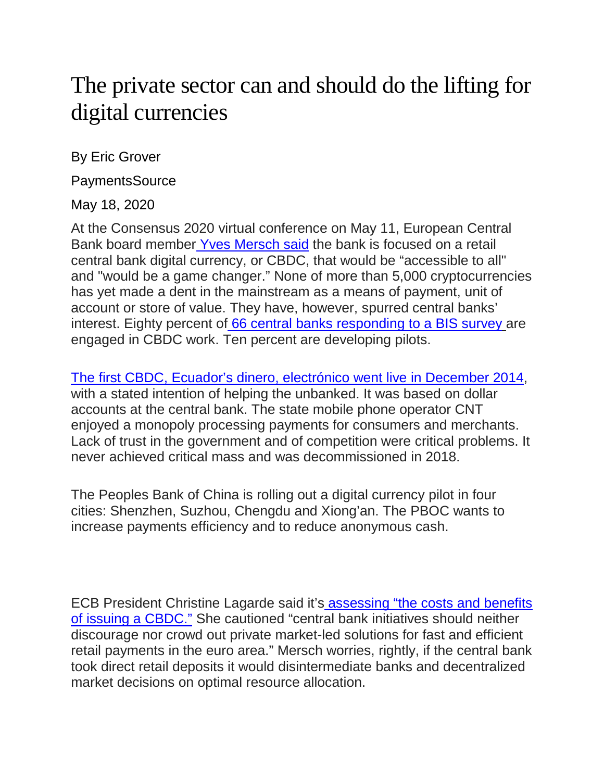## The private sector can and should do the lifting for digital currencies

By Eric Grover

PaymentsSource

May 18, 2020

At the Consensus 2020 virtual conference on May 11, European Central Bank board member [Yves Mersch said](https://www.ecb.europa.eu/press/key/date/2020/html/ecb.sp200511%7E01209cb324.en.html) the bank is focused on a retail central bank digital currency, or CBDC, that would be "accessible to all" and "would be a game changer." None of more than 5,000 cryptocurrencies has yet made a dent in the mainstream as a means of payment, unit of account or store of value. They have, however, spurred central banks' interest. Eighty percent of [66 central banks responding to a BIS survey](https://www.bis.org/publ/bppdf/bispap107.pdf) are engaged in CBDC work. Ten percent are developing pilots.

[The first CBDC, Ecuador's dinero, electrónico went live in December 2014,](https://www.alt-m.org/2018/03/29/the-worlds-first-central-bank-electronic-money-has-come-and-gone-ecuador-2014-2018/) with a stated intention of helping the unbanked. It was based on dollar accounts at the central bank. The state mobile phone operator CNT enjoyed a monopoly processing payments for consumers and merchants. Lack of trust in the government and of competition were critical problems. It never achieved critical mass and was decommissioned in 2018.

The Peoples Bank of China is rolling out a digital currency pilot in four cities: Shenzhen, Suzhou, Chengdu and Xiong'an. The PBOC wants to increase payments efficiency and to reduce anonymous cash.

ECB President Christine Lagarde said it's [assessing "the costs and benefits](https://www.bis.org/review/r200108d.htm)  [of issuing a CBDC."](https://www.bis.org/review/r200108d.htm) She cautioned "central bank initiatives should neither discourage nor crowd out private market-led solutions for fast and efficient retail payments in the euro area." Mersch worries, rightly, if the central bank took direct retail deposits it would disintermediate banks and decentralized market decisions on optimal resource allocation.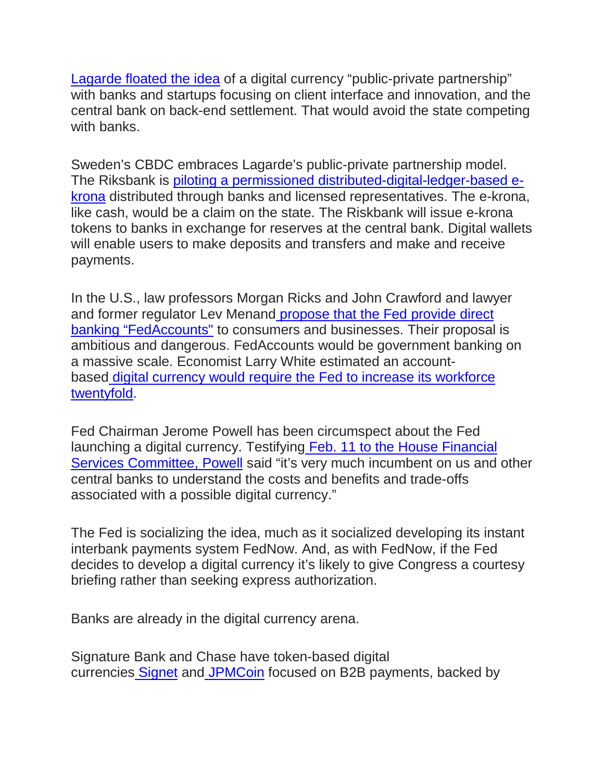[Lagarde floated the idea](https://www.imf.org/en/News/Articles/2018/11/13/sp111418-winds-of-change-the-case-for-new-digital-currency) of a digital currency "public-private partnership" with banks and startups focusing on client interface and innovation, and the central bank on back-end settlement. That would avoid the state competing with banks.

Sweden's CBDC embraces Lagarde's public-private partnership model. The Riksbank is [piloting a permissioned distributed-digital-ledger-based e](https://www.riksbank.se/globalassets/media/rapporter/e-krona/2019/the-riksbanks-e-krona-pilot.pdf)[krona](https://www.riksbank.se/globalassets/media/rapporter/e-krona/2019/the-riksbanks-e-krona-pilot.pdf) distributed through banks and licensed representatives. The e-krona, like cash, would be a claim on the state. The Riskbank will issue e-krona tokens to banks in exchange for reserves at the central bank. Digital wallets will enable users to make deposits and transfers and make and receive payments.

In the U.S., law professors Morgan Ricks and John Crawford and lawyer and former regulator Lev Menand [propose that the Fed provide direct](https://papers.ssrn.com/sol3/papers.cfm?abstract_id=3192162)  [banking "FedAccounts"](https://papers.ssrn.com/sol3/papers.cfm?abstract_id=3192162) to consumers and businesses. Their proposal is ambitious and dangerous. FedAccounts would be government banking on a massive scale. Economist Larry White estimated an accountbased [digital currency would require the Fed to increase its workforce](https://www.alt-m.org/2019/02/11/efficient-central-bank-digital-currency-is-a-fantasy/)  [twentyfold.](https://www.alt-m.org/2019/02/11/efficient-central-bank-digital-currency-is-a-fantasy/)

Fed Chairman Jerome Powell has been circumspect about the Fed launching a digital currency. Testifying [Feb. 11 to the House Financial](https://www.youtube.com/watch?v=HsqAyZi8vDY)  [Services Committee, Powell](https://www.youtube.com/watch?v=HsqAyZi8vDY) said "it's very much incumbent on us and other central banks to understand the costs and benefits and trade-offs associated with a possible digital currency."

The Fed is socializing the idea, much as it socialized developing its instant interbank payments system FedNow. And, as with FedNow, if the Fed decides to develop a digital currency it's likely to give Congress a courtesy briefing rather than seeking express authorization.

Banks are already in the digital currency arena.

Signature Bank and Chase have token-based digital currencies [Signet](https://www.forbes.com/sites/benjaminpirus/2019/02/22/signature-bank-already-has-hundreds-of-clients-using-private-ethereum-jpm-coin-still-in-testing/#4c4eb1bb3359) and [JPMCoin](https://www.coindesk.com/jpmorgan-to-start-customer-trials-of-its-jpm-coin-crypto) focused on B2B payments, backed by